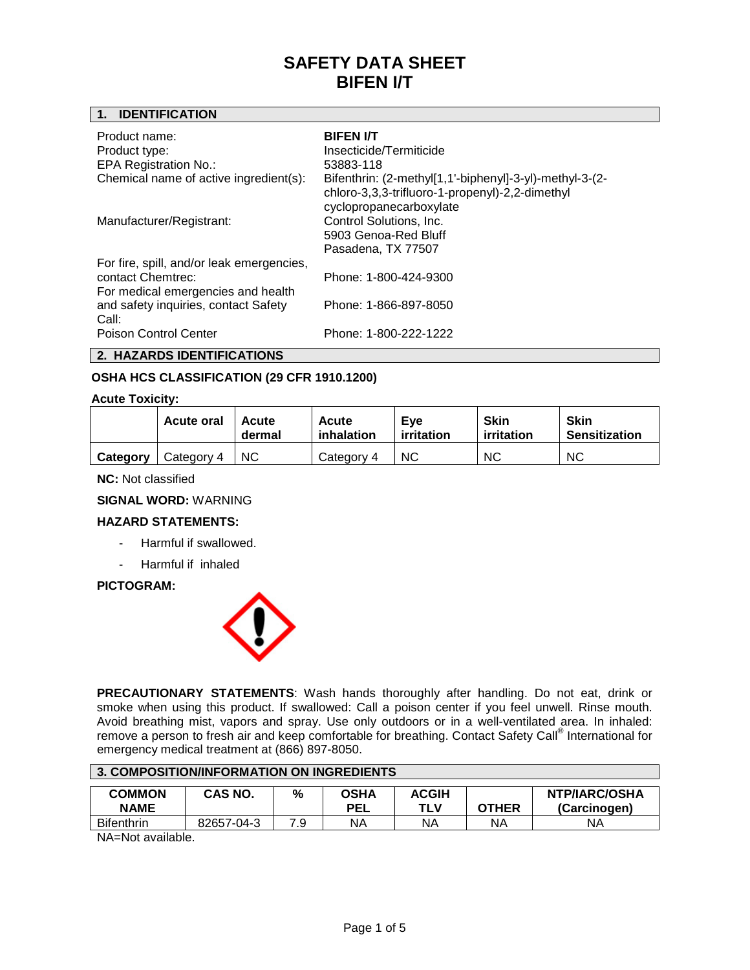# **1. IDENTIFICATION**

| Product name:<br>Product type:<br><b>EPA Registration No.:</b>                                       | <b>BIFEN I/T</b><br>Insecticide/Termiticide<br>53883-118                                                                              |
|------------------------------------------------------------------------------------------------------|---------------------------------------------------------------------------------------------------------------------------------------|
| Chemical name of active ingredient(s):                                                               | Bifenthrin: (2-methyl[1,1'-biphenyl]-3-yl)-methyl-3-(2-<br>chloro-3,3,3-trifluoro-1-propenyl)-2,2-dimethyl<br>cyclopropanecarboxylate |
| Manufacturer/Registrant:                                                                             | Control Solutions, Inc.<br>5903 Genoa-Red Bluff<br>Pasadena, TX 77507                                                                 |
| For fire, spill, and/or leak emergencies,<br>contact Chemtrec:<br>For medical emergencies and health | Phone: 1-800-424-9300                                                                                                                 |
| and safety inquiries, contact Safety<br>Call:<br>Poison Control Center                               | Phone: 1-866-897-8050<br>Phone: 1-800-222-1222                                                                                        |

**2. HAZARDS IDENTIFICATIONS**

# **OSHA HCS CLASSIFICATION (29 CFR 1910.1200)**

# **Acute Toxicity:**

|          | <b>Acute oral</b> | Acute<br>dermal | Acute<br>inhalation | Eve<br>irritation | <b>Skin</b><br>irritation | <b>Skin</b><br><b>Sensitization</b> |
|----------|-------------------|-----------------|---------------------|-------------------|---------------------------|-------------------------------------|
| Category | Category 4        | <b>NC</b>       | Category 4          | <b>NC</b>         | <b>NC</b>                 | <b>NC</b>                           |

**NC:** Not classified

**SIGNAL WORD:** WARNING

# **HAZARD STATEMENTS:**

- Harmful if swallowed.
- Harmful if inhaled

# **PICTOGRAM:**



**PRECAUTIONARY STATEMENTS**: Wash hands thoroughly after handling. Do not eat, drink or smoke when using this product. If swallowed: Call a poison center if you feel unwell. Rinse mouth. Avoid breathing mist, vapors and spray. Use only outdoors or in a well-ventilated area. In inhaled: remove a person to fresh air and keep comfortable for breathing. Contact Safety Call® International for emergency medical treatment at (866) 897-8050.

| 3. COMPOSITION/INFORMATION ON INGREDIENTS |                |     |                    |                     |              |                                      |
|-------------------------------------------|----------------|-----|--------------------|---------------------|--------------|--------------------------------------|
| <b>COMMON</b><br><b>NAME</b>              | <b>CAS NO.</b> | %   | OSHA<br><b>PEL</b> | <b>ACGIH</b><br>TLV | <b>OTHER</b> | <b>NTP/IARC/OSHA</b><br>(Carcinogen) |
| <b>Bifenthrin</b>                         | 82657-04-3     | 7.9 | ΝA                 | ΝA                  | ΝA           | ΝA                                   |

NA=Not available.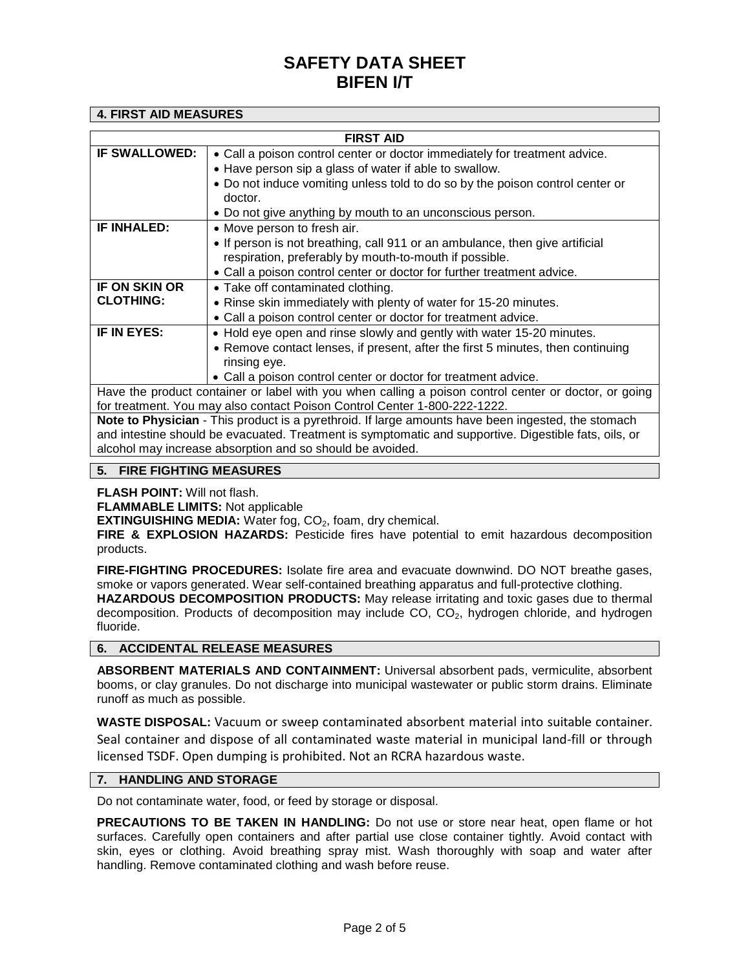## **4. FIRST AID MEASURES**

| <b>FIRST AID</b>                                                                                          |                                                                                 |  |  |  |  |  |  |
|-----------------------------------------------------------------------------------------------------------|---------------------------------------------------------------------------------|--|--|--|--|--|--|
| <b>IF SWALLOWED:</b>                                                                                      | • Call a poison control center or doctor immediately for treatment advice.      |  |  |  |  |  |  |
|                                                                                                           | • Have person sip a glass of water if able to swallow.                          |  |  |  |  |  |  |
|                                                                                                           | • Do not induce vomiting unless told to do so by the poison control center or   |  |  |  |  |  |  |
|                                                                                                           | doctor.                                                                         |  |  |  |  |  |  |
|                                                                                                           | • Do not give anything by mouth to an unconscious person.                       |  |  |  |  |  |  |
| IF INHALED:                                                                                               | • Move person to fresh air.                                                     |  |  |  |  |  |  |
|                                                                                                           | • If person is not breathing, call 911 or an ambulance, then give artificial    |  |  |  |  |  |  |
|                                                                                                           | respiration, preferably by mouth-to-mouth if possible.                          |  |  |  |  |  |  |
|                                                                                                           | • Call a poison control center or doctor for further treatment advice.          |  |  |  |  |  |  |
| IF ON SKIN OR                                                                                             | • Take off contaminated clothing.                                               |  |  |  |  |  |  |
| <b>CLOTHING:</b>                                                                                          | • Rinse skin immediately with plenty of water for 15-20 minutes.                |  |  |  |  |  |  |
|                                                                                                           | • Call a poison control center or doctor for treatment advice.                  |  |  |  |  |  |  |
| IF IN EYES:                                                                                               | • Hold eye open and rinse slowly and gently with water 15-20 minutes.           |  |  |  |  |  |  |
|                                                                                                           | • Remove contact lenses, if present, after the first 5 minutes, then continuing |  |  |  |  |  |  |
|                                                                                                           | rinsing eye.                                                                    |  |  |  |  |  |  |
|                                                                                                           | • Call a poison control center or doctor for treatment advice.                  |  |  |  |  |  |  |
| Have the product container or label with you when calling a poison control center or doctor, or going     |                                                                                 |  |  |  |  |  |  |
| for treatment. You may also contact Poison Control Center 1-800-222-1222.                                 |                                                                                 |  |  |  |  |  |  |
| <b>Note to Physician</b> - This product is a pyrethroid. If large amounts have been ingested, the stomach |                                                                                 |  |  |  |  |  |  |
| and intestine should be eveninged. Treatment is symptomatic and supportive. Digestible fats, oils, or     |                                                                                 |  |  |  |  |  |  |

and intestine should be evacuated. Treatment is symptomatic and supportive. Digestible fats, oils, or alcohol may increase absorption and so should be avoided.

# **5. FIRE FIGHTING MEASURES**

**FLASH POINT:** Will not flash.

**FLAMMABLE LIMITS:** Not applicable

**EXTINGUISHING MEDIA:** Water fog, CO<sub>2</sub>, foam, dry chemical.

**FIRE & EXPLOSION HAZARDS:** Pesticide fires have potential to emit hazardous decomposition products.

**FIRE-FIGHTING PROCEDURES:** Isolate fire area and evacuate downwind. DO NOT breathe gases, smoke or vapors generated. Wear self-contained breathing apparatus and full-protective clothing. **HAZARDOUS DECOMPOSITION PRODUCTS:** May release irritating and toxic gases due to thermal decomposition. Products of decomposition may include  $CO$ ,  $CO<sub>2</sub>$ , hydrogen chloride, and hydrogen fluoride.

# **6. ACCIDENTAL RELEASE MEASURES**

**ABSORBENT MATERIALS AND CONTAINMENT:** Universal absorbent pads, vermiculite, absorbent booms, or clay granules. Do not discharge into municipal wastewater or public storm drains. Eliminate runoff as much as possible.

**WASTE DISPOSAL:** Vacuum or sweep contaminated absorbent material into suitable container. Seal container and dispose of all contaminated waste material in municipal land-fill or through licensed TSDF. Open dumping is prohibited. Not an RCRA hazardous waste.

### **7. HANDLING AND STORAGE**

Do not contaminate water, food, or feed by storage or disposal.

**PRECAUTIONS TO BE TAKEN IN HANDLING:** Do not use or store near heat, open flame or hot surfaces. Carefully open containers and after partial use close container tightly. Avoid contact with skin, eyes or clothing. Avoid breathing spray mist. Wash thoroughly with soap and water after handling. Remove contaminated clothing and wash before reuse.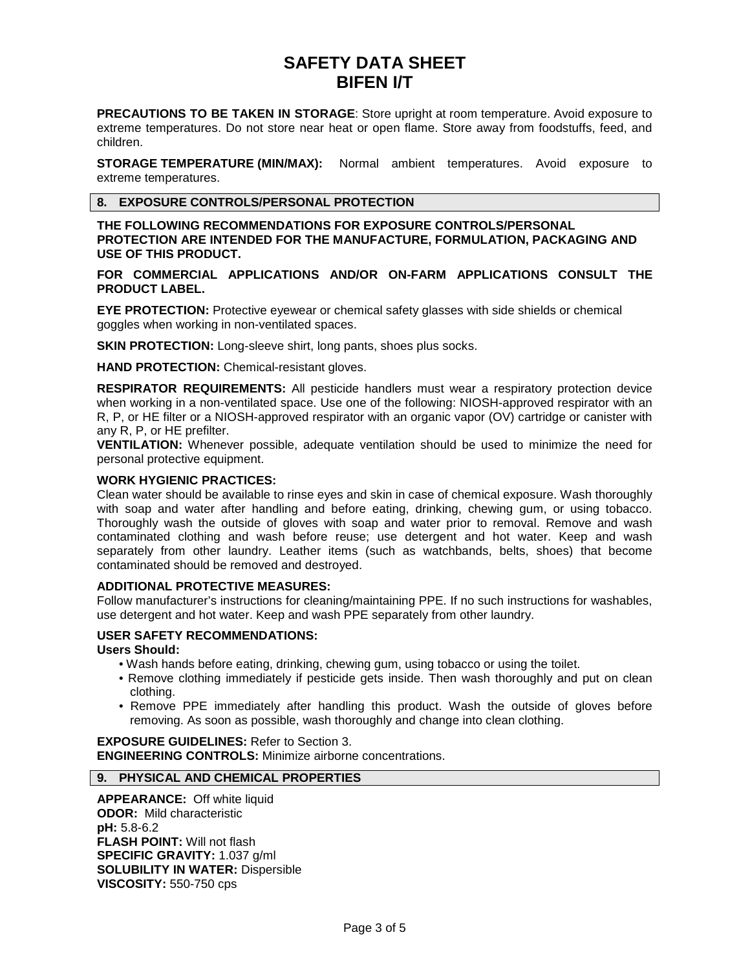**PRECAUTIONS TO BE TAKEN IN STORAGE**: Store upright at room temperature. Avoid exposure to extreme temperatures. Do not store near heat or open flame. Store away from foodstuffs, feed, and children.

**STORAGE TEMPERATURE (MIN/MAX):** Normal ambient temperatures. Avoid exposure to extreme temperatures.

# **8. EXPOSURE CONTROLS/PERSONAL PROTECTION**

**THE FOLLOWING RECOMMENDATIONS FOR EXPOSURE CONTROLS/PERSONAL PROTECTION ARE INTENDED FOR THE MANUFACTURE, FORMULATION, PACKAGING AND USE OF THIS PRODUCT.**

## **FOR COMMERCIAL APPLICATIONS AND/OR ON-FARM APPLICATIONS CONSULT THE PRODUCT LABEL.**

**EYE PROTECTION:** Protective eyewear or chemical safety glasses with side shields or chemical goggles when working in non-ventilated spaces.

**SKIN PROTECTION:** Long-sleeve shirt, long pants, shoes plus socks.

**HAND PROTECTION:** Chemical-resistant gloves.

**RESPIRATOR REQUIREMENTS:** All pesticide handlers must wear a respiratory protection device when working in a non-ventilated space. Use one of the following: NIOSH-approved respirator with an R, P, or HE filter or a NIOSH-approved respirator with an organic vapor (OV) cartridge or canister with any R, P, or HE prefilter.

**VENTILATION:** Whenever possible, adequate ventilation should be used to minimize the need for personal protective equipment.

## **WORK HYGIENIC PRACTICES:**

Clean water should be available to rinse eyes and skin in case of chemical exposure. Wash thoroughly with soap and water after handling and before eating, drinking, chewing gum, or using tobacco. Thoroughly wash the outside of gloves with soap and water prior to removal. Remove and wash contaminated clothing and wash before reuse; use detergent and hot water. Keep and wash separately from other laundry. Leather items (such as watchbands, belts, shoes) that become contaminated should be removed and destroyed.

# **ADDITIONAL PROTECTIVE MEASURES:**

Follow manufacturer's instructions for cleaning/maintaining PPE. If no such instructions for washables, use detergent and hot water. Keep and wash PPE separately from other laundry.

# **USER SAFETY RECOMMENDATIONS:**

### **Users Should:**

- Wash hands before eating, drinking, chewing gum, using tobacco or using the toilet.
- Remove clothing immediately if pesticide gets inside. Then wash thoroughly and put on clean clothing.
- Remove PPE immediately after handling this product. Wash the outside of gloves before removing. As soon as possible, wash thoroughly and change into clean clothing.

**EXPOSURE GUIDELINES:** Refer to Section 3. **ENGINEERING CONTROLS:** Minimize airborne concentrations.

# **9. PHYSICAL AND CHEMICAL PROPERTIES**

**APPEARANCE:** Off white liquid **ODOR:** Mild characteristic **pH:** 5.8-6.2 **FLASH POINT:** Will not flash **SPECIFIC GRAVITY:** 1.037 g/ml **SOLUBILITY IN WATER:** Dispersible **VISCOSITY:** 550-750 cps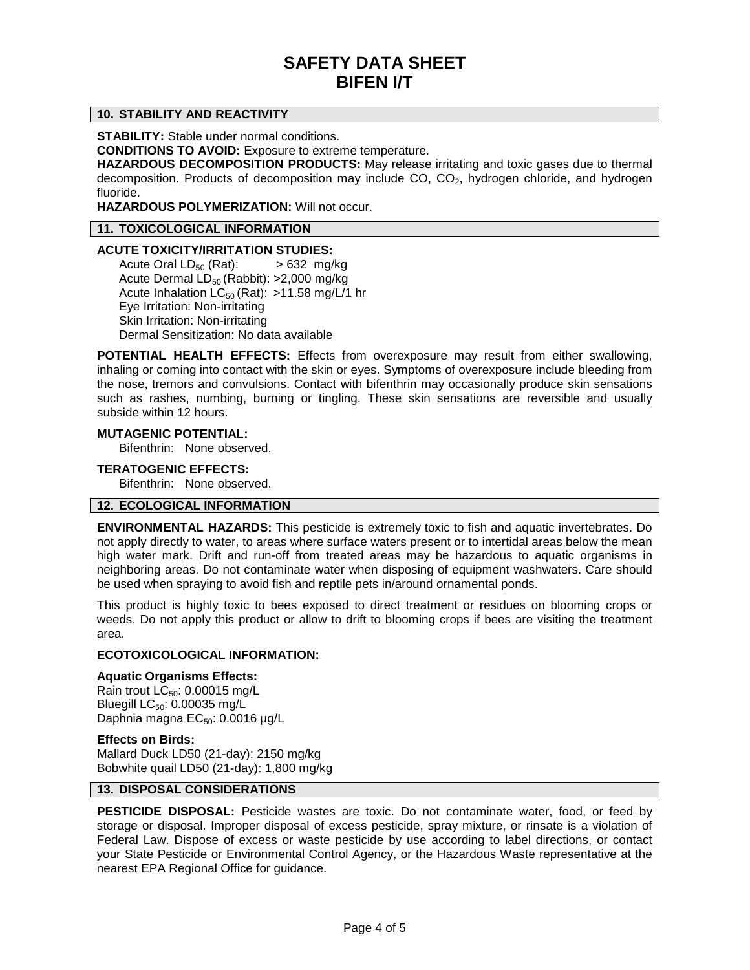# **10. STABILITY AND REACTIVITY**

**STABILITY:** Stable under normal conditions.

**CONDITIONS TO AVOID:** Exposure to extreme temperature.

**HAZARDOUS DECOMPOSITION PRODUCTS:** May release irritating and toxic gases due to thermal decomposition. Products of decomposition may include CO, CO<sub>2</sub>, hydrogen chloride, and hydrogen fluoride.

**HAZARDOUS POLYMERIZATION:** Will not occur.

# **11. TOXICOLOGICAL INFORMATION**

## **ACUTE TOXICITY/IRRITATION STUDIES:**

Acute Oral  $LD_{50}$  (Rat):  $> 632$  mg/kg Acute Dermal LD<sub>50</sub> (Rabbit): >2,000 mg/kg Acute Inhalation  $LC_{50}$  (Rat): >11.58 mg/L/1 hr Eye Irritation: Non-irritating Skin Irritation: Non-irritating Dermal Sensitization: No data available

**POTENTIAL HEALTH EFFECTS:** Effects from overexposure may result from either swallowing, inhaling or coming into contact with the skin or eyes. Symptoms of overexposure include bleeding from the nose, tremors and convulsions. Contact with bifenthrin may occasionally produce skin sensations such as rashes, numbing, burning or tingling. These skin sensations are reversible and usually subside within 12 hours.

## **MUTAGENIC POTENTIAL:**

Bifenthrin: None observed.

## **TERATOGENIC EFFECTS:**

Bifenthrin: None observed.

# **12. ECOLOGICAL INFORMATION**

**ENVIRONMENTAL HAZARDS:** This pesticide is extremely toxic to fish and aquatic invertebrates. Do not apply directly to water, to areas where surface waters present or to intertidal areas below the mean high water mark. Drift and run-off from treated areas may be hazardous to aquatic organisms in neighboring areas. Do not contaminate water when disposing of equipment washwaters. Care should be used when spraying to avoid fish and reptile pets in/around ornamental ponds.

This product is highly toxic to bees exposed to direct treatment or residues on blooming crops or weeds. Do not apply this product or allow to drift to blooming crops if bees are visiting the treatment area.

### **ECOTOXICOLOGICAL INFORMATION:**

### **Aquatic Organisms Effects:**

Rain trout  $LC_{50}$ : 0.00015 mg/L Bluegill  $LC_{50}$ : 0.00035 mg/L Daphnia magna  $EC_{50}$ : 0.0016 µg/L

## **Effects on Birds:**

Mallard Duck LD50 (21-day): 2150 mg/kg Bobwhite quail LD50 (21-day): 1,800 mg/kg

# **13. DISPOSAL CONSIDERATIONS**

**PESTICIDE DISPOSAL:** Pesticide wastes are toxic. Do not contaminate water, food, or feed by storage or disposal. Improper disposal of excess pesticide, spray mixture, or rinsate is a violation of Federal Law. Dispose of excess or waste pesticide by use according to label directions, or contact your State Pesticide or Environmental Control Agency, or the Hazardous Waste representative at the nearest EPA Regional Office for guidance.